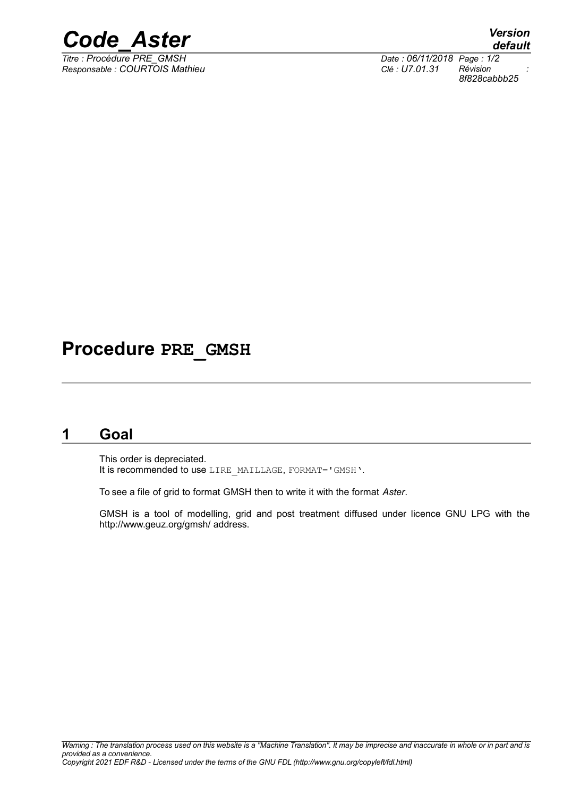

*Titre : Procédure PRE\_GMSH Date : 06/11/2018 Page : 1/2 Responsable : COURTOIS Mathieu Clé : U7.01.31 Révision :*

*default 8f828cabbb25*

## **Procedure PRE\_GMSH**

#### **1 Goal**

This order is depreciated. It is recommended to use LIRE\_MAILLAGE, FORMAT='GMSH'.

To see a file of grid to format GMSH then to write it with the format *Aster*.

GMSH is a tool of modelling, grid and post treatment diffused under licence GNU LPG with the http://www.geuz.org/gmsh/ address.